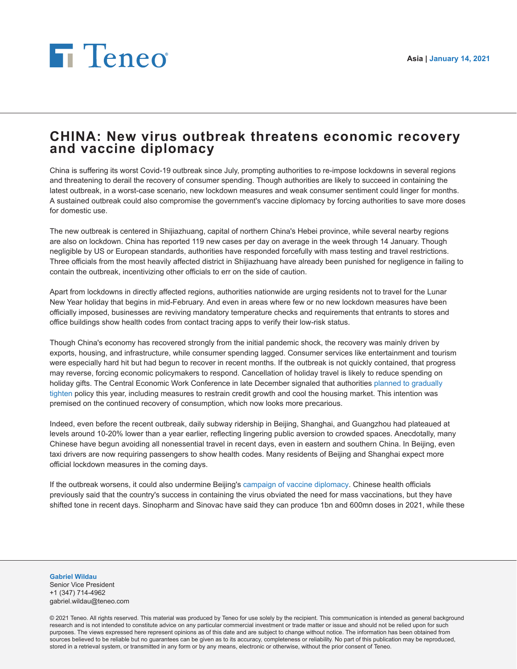## **Fi** Teneo

## **CHINA: New virus outbreak threatens economic recovery and vaccine diplomacy**

China is suffering its worst Covid-19 outbreak since July, prompting authorities to re-impose lockdowns in several regions and threatening to derail the recovery of consumer spending. Though authorities are likely to succeed in containing the latest outbreak, in a worst-case scenario, new lockdown measures and weak consumer sentiment could linger for months. A sustained outbreak could also compromise the government's vaccine diplomacy by forcing authorities to save more doses for domestic use.

The new outbreak is centered in Shijiazhuang, capital of northern China's Hebei province, while several nearby regions are also on lockdown. China has reported 119 new cases per day on average in the week through 14 January. Though negligible by US or European standards, authorities have responded forcefully with mass testing and travel restrictions. Three officials from the most heavily affected district in Shijiazhuang have already been punished for negligence in failing to contain the outbreak, incentivizing other officials to err on the side of caution.

Apart from lockdowns in directly affected regions, authorities nationwide are urging residents not to travel for the Lunar New Year holiday that begins in mid-February. And even in areas where few or no new lockdown measures have been officially imposed, businesses are reviving mandatory temperature checks and requirements that entrants to stores and office buildings show health codes from contact tracing apps to verify their low-risk status.

Though China's economy has recovered strongly from the initial pandemic shock, the recovery was mainly driven by exports, housing, and infrastructure, while consumer spending lagged. Consumer services like entertainment and tourism were especially hard hit but had begun to recover in recent months. If the outbreak is not quickly contained, that progress may reverse, forcing economic policymakers to respond. Cancellation of holiday travel is likely to reduce spending on holiday gifts. The Central Economic Work Conference in late December signaled that authorities [planned to gradually](https://teneointel.bluematrix.com/sellside/EmailDocViewer?encrypt=2b01f100-1047-40e6-82eb-d3c2c9012169&mime=pdf&co=teneointel&id=gabriel.wildau@teneo.com&source=libraryView&htmlToPdf=true) [tighten](https://teneointel.bluematrix.com/sellside/EmailDocViewer?encrypt=2b01f100-1047-40e6-82eb-d3c2c9012169&mime=pdf&co=teneointel&id=gabriel.wildau@teneo.com&source=libraryView&htmlToPdf=true) policy this year, including measures to restrain credit growth and cool the housing market. This intention was premised on the continued recovery of consumption, which now looks more precarious.

Indeed, even before the recent outbreak, daily subway ridership in Beijing, Shanghai, and Guangzhou had plateaued at levels around 10-20% lower than a year earlier, reflecting lingering public aversion to crowded spaces. Anecdotally, many Chinese have begun avoiding all nonessential travel in recent days, even in eastern and southern China. In Beijing, even taxi drivers are now requiring passengers to show health codes. Many residents of Beijing and Shanghai expect more official lockdown measures in the coming days.

If the outbreak worsens, it could also undermine Beijing's [campaign of vaccine diplomacy](https://teneointel.bluematrix.com/sellside/EmailDocViewer?encrypt=8b04d504-3f05-4e80-b25b-9f08bda221c8&mime=pdf&co=teneointel&id=gabriel.wildau@teneo.com&source=libraryView&htmlToPdf=true). Chinese health officials previously said that the country's success in containing the virus obviated the need for mass vaccinations, but they have shifted tone in recent days. Sinopharm and Sinovac have said they can produce 1bn and 600mn doses in 2021, while these

**Gabriel Wildau** Senior Vice President

+1 (347) 714-4962 gabriel.wildau@teneo.com

© 2021 Teneo. All rights reserved. This material was produced by Teneo for use solely by the recipient. This communication is intended as general background research and is not intended to constitute advice on any particular commercial investment or trade matter or issue and should not be relied upon for such purposes. The views expressed here represent opinions as of this date and are subject to change without notice. The information has been obtained from sources believed to be reliable but no guarantees can be given as to its accuracy, completeness or reliability. No part of this publication may be reproduced, stored in a retrieval system, or transmitted in any form or by any means, electronic or otherwise, without the prior consent of Teneo.